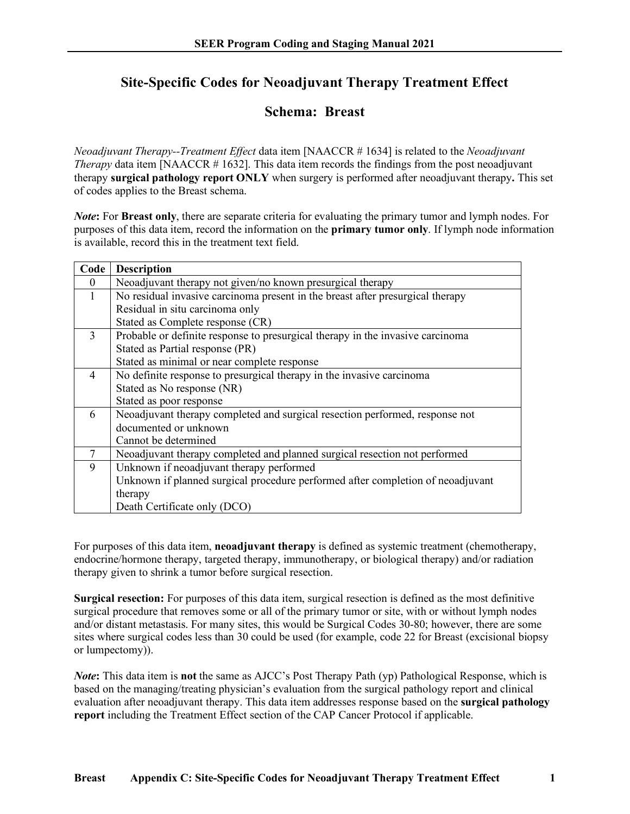## **Site-Specific Codes for Neoadjuvant Therapy Treatment Effect**

## **Schema: Breast**

*Neoadjuvant Therapy--Treatment Effect* data item [NAACCR # 1634] is related to the *Neoadjuvant Therapy* data item [NAACCR # 1632]. This data item records the findings from the post neoadjuvant therapy **surgical pathology report ONLY** when surgery is performed after neoadjuvant therapy**.** This set of codes applies to the Breast schema.

*Note***:** For **Breast only**, there are separate criteria for evaluating the primary tumor and lymph nodes. For purposes of this data item, record the information on the **primary tumor only**. If lymph node information is available, record this in the treatment text field.

| Code     | <b>Description</b>                                                              |
|----------|---------------------------------------------------------------------------------|
| $\theta$ | Neoadjuvant therapy not given/no known presurgical therapy                      |
| 1        | No residual invasive carcinoma present in the breast after presurgical therapy  |
|          | Residual in situ carcinoma only                                                 |
|          | Stated as Complete response (CR)                                                |
| 3        | Probable or definite response to presurgical therapy in the invasive carcinoma  |
|          | Stated as Partial response (PR)                                                 |
|          | Stated as minimal or near complete response                                     |
| 4        | No definite response to presurgical therapy in the invasive carcinoma           |
|          | Stated as No response (NR)                                                      |
|          | Stated as poor response                                                         |
| 6        | Neoadjuvant therapy completed and surgical resection performed, response not    |
|          | documented or unknown                                                           |
|          | Cannot be determined                                                            |
| $\tau$   | Neoadjuvant therapy completed and planned surgical resection not performed      |
| 9        | Unknown if neoadjuvant therapy performed                                        |
|          | Unknown if planned surgical procedure performed after completion of neoadjuvant |
|          | therapy                                                                         |
|          | Death Certificate only (DCO)                                                    |

For purposes of this data item, **neoadjuvant therapy** is defined as systemic treatment (chemotherapy, endocrine/hormone therapy, targeted therapy, immunotherapy, or biological therapy) and/or radiation therapy given to shrink a tumor before surgical resection.

**Surgical resection:** For purposes of this data item, surgical resection is defined as the most definitive surgical procedure that removes some or all of the primary tumor or site, with or without lymph nodes and/or distant metastasis. For many sites, this would be Surgical Codes 30-80; however, there are some sites where surgical codes less than 30 could be used (for example, code 22 for Breast (excisional biopsy or lumpectomy)).

*Note***:** This data item is **not** the same as AJCC's Post Therapy Path (yp) Pathological Response, which is based on the managing/treating physician's evaluation from the surgical pathology report and clinical evaluation after neoadjuvant therapy. This data item addresses response based on the **surgical pathology report** including the Treatment Effect section of the CAP Cancer Protocol if applicable.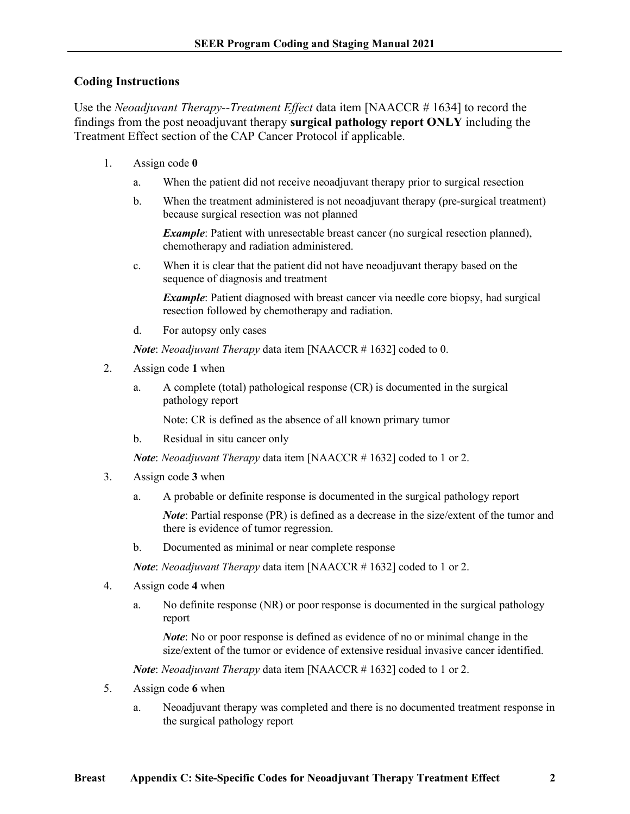## **Coding Instructions**

Use the *Neoadjuvant Therapy--Treatment Effect* data item [NAACCR # 1634] to record the findings from the post neoadjuvant therapy **surgical pathology report ONLY** including the Treatment Effect section of the CAP Cancer Protocol if applicable.

- 1. Assign code **0**
	- a. When the patient did not receive neoadjuvant therapy prior to surgical resection
	- b. When the treatment administered is not neoadjuvant therapy (pre-surgical treatment) because surgical resection was not planned

*Example*: Patient with unresectable breast cancer (no surgical resection planned), chemotherapy and radiation administered.

c. When it is clear that the patient did not have neoadjuvant therapy based on the sequence of diagnosis and treatment

*Example*: Patient diagnosed with breast cancer via needle core biopsy, had surgical resection followed by chemotherapy and radiation.

d. For autopsy only cases

*Note*: *Neoadjuvant Therapy* data item [NAACCR # 1632] coded to 0.

- 2. Assign code **1** when
	- a. A complete (total) pathological response (CR) is documented in the surgical pathology report

Note: CR is defined as the absence of all known primary tumor

b. Residual in situ cancer only

*Note*: *Neoadjuvant Therapy* data item [NAACCR # 1632] coded to 1 or 2.

- 3. Assign code **3** when
	- a. A probable or definite response is documented in the surgical pathology report

*Note*: Partial response (PR) is defined as a decrease in the size/extent of the tumor and there is evidence of tumor regression.

b. Documented as minimal or near complete response

*Note*: *Neoadjuvant Therapy* data item [NAACCR # 1632] coded to 1 or 2.

- 4. Assign code **4** when
	- a. No definite response (NR) or poor response is documented in the surgical pathology report

*Note*: No or poor response is defined as evidence of no or minimal change in the size/extent of the tumor or evidence of extensive residual invasive cancer identified.

*Note*: *Neoadjuvant Therapy* data item [NAACCR # 1632] coded to 1 or 2.

- 5. Assign code **6** when
	- a. Neoadjuvant therapy was completed and there is no documented treatment response in the surgical pathology report